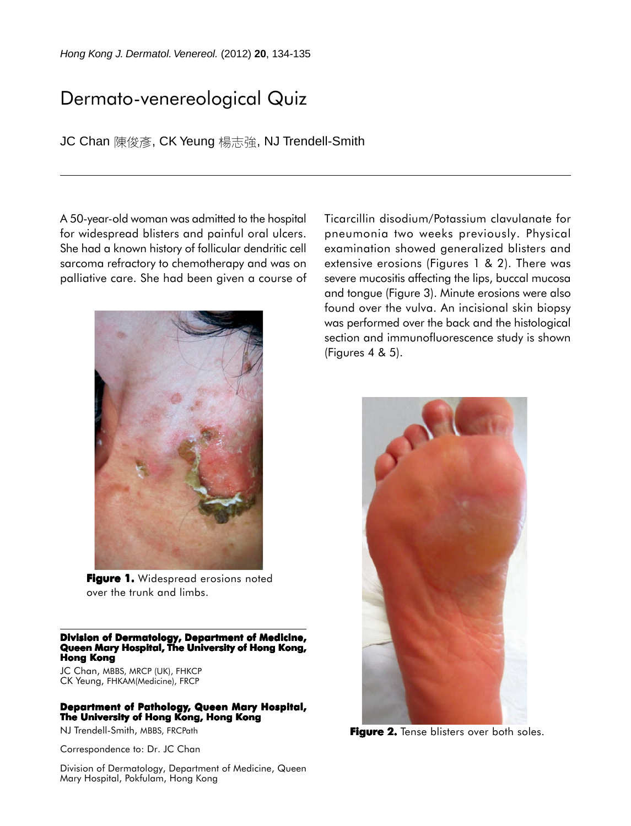## Dermato-venereological Quiz

JC Chan 陳俊彥, CK Yeung 楊志強, NJ Trendell-Smith

A 50-year-old woman was admitted to the hospital for widespread blisters and painful oral ulcers. She had a known history of follicular dendritic cell sarcoma refractory to chemotherapy and was on palliative care. She had been given a course of



**Figure 1.** Widespread erosions noted over the trunk and limbs.

## **Division of Dermatology, Department of Medicine, Queen Mary Hospital, The University of Hong Kong, Hong Kong**

JC Chan, MBBS, MRCP (UK), FHKCP CK Yeung, FHKAM(Medicine), FRCP

## **Department of Pathology, Queen Mary Hospital, The University of Hong Kong, Hong Kong**

NJ Trendell-Smith, MBBS, FRCPath

Correspondence to: Dr. JC Chan

Division of Dermatology, Department of Medicine, Queen Mary Hospital, Pokfulam, Hong Kong

Ticarcillin disodium/Potassium clavulanate for pneumonia two weeks previously. Physical examination showed generalized blisters and extensive erosions (Figures 1 & 2). There was severe mucositis affecting the lips, buccal mucosa and tongue (Figure 3). Minute erosions were also found over the vulva. An incisional skin biopsy was performed over the back and the histological section and immunofluorescence study is shown (Figures 4 & 5).



**Figure 2.** Tense blisters over both soles.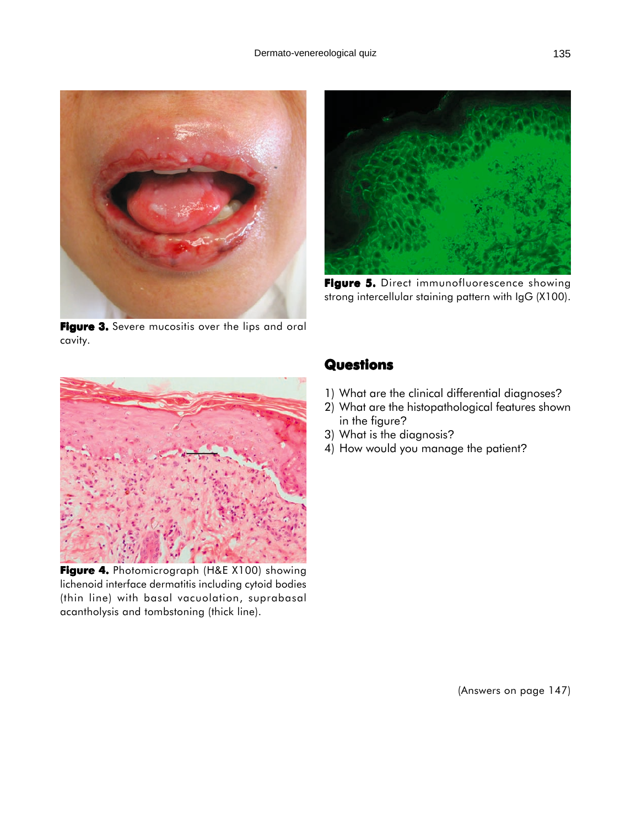



**Figure 5.** Direct immunofluorescence showing strong intercellular staining pattern with IgG (X100).

Figure 3. Severe mucositis over the lips and oral cavity.



**Figure 4.** Photomicrograph (H&E X100) showing lichenoid interface dermatitis including cytoid bodies (thin line) with basal vacuolation, suprabasal acantholysis and tombstoning (thick line).

## **Questions**

- 1) What are the clinical differential diagnoses?
- 2) What are the histopathological features shown in the figure?
- 3) What is the diagnosis?
- 4) How would you manage the patient?

(Answers on page 147)